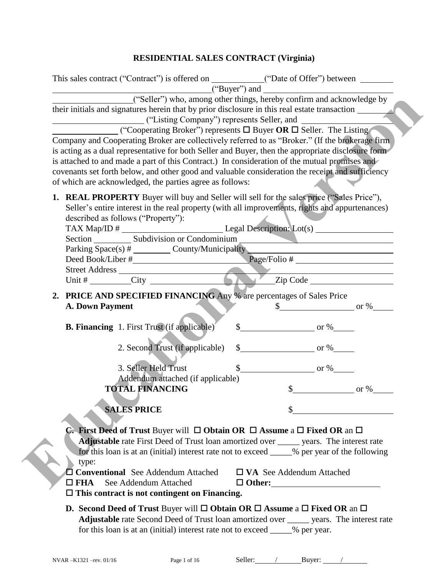## **RESIDENTIAL SALES CONTRACT (Virginia)**

| ("Seller") who, among other things, hereby confirm and acknowledge by<br>their initials and signatures herein that by prior disclosure in this real estate transaction<br>("Listing Company") represents Seller, and                                                                                            |               |                                  |                                  |
|-----------------------------------------------------------------------------------------------------------------------------------------------------------------------------------------------------------------------------------------------------------------------------------------------------------------|---------------|----------------------------------|----------------------------------|
| ("Cooperating Broker") represents $\Box$ Buyer OR $\Box$ Seller. The Listing<br>Company and Cooperating Broker are collectively referred to as "Broker." (If the brokerage firm                                                                                                                                 |               |                                  |                                  |
| is acting as a dual representative for both Seller and Buyer, then the appropriate disclosure form                                                                                                                                                                                                              |               |                                  |                                  |
| is attached to and made a part of this Contract.) In consideration of the mutual promises and                                                                                                                                                                                                                   |               |                                  |                                  |
| covenants set forth below, and other good and valuable consideration the receipt and sufficiency                                                                                                                                                                                                                |               |                                  |                                  |
| of which are acknowledged, the parties agree as follows:                                                                                                                                                                                                                                                        |               |                                  |                                  |
| <b>1. REAL PROPERTY</b> Buyer will buy and Seller will sell for the sales price ("Sales Price"),<br>Seller's entire interest in the real property (with all improvements, rights and appurtenances)<br>described as follows ("Property"):                                                                       |               |                                  |                                  |
|                                                                                                                                                                                                                                                                                                                 |               |                                  |                                  |
| Parking Space(s) # _________ County/Municipality                                                                                                                                                                                                                                                                |               |                                  |                                  |
|                                                                                                                                                                                                                                                                                                                 |               |                                  |                                  |
|                                                                                                                                                                                                                                                                                                                 |               |                                  |                                  |
|                                                                                                                                                                                                                                                                                                                 |               |                                  |                                  |
| 2. PRICE AND SPECIFIED FINANCING Any % are percentages of Sales Price<br><b>A. Down Payment</b>                                                                                                                                                                                                                 |               |                                  | $\frac{\text{S}}{\text{S}}$ or % |
| <b>B. Financing</b> 1. First Trust (if applicable)                                                                                                                                                                                                                                                              |               | $\frac{\text{I}}{\text{I}}$ or % |                                  |
| 2. Second Trust (if applicable)                                                                                                                                                                                                                                                                                 |               | $\frac{\text{I}}{\text{I}}$ or % |                                  |
| 3. Seller Held Trust                                                                                                                                                                                                                                                                                            |               | $\frac{\text{S}}{\text{S}}$ or % |                                  |
| Addendum attached (if applicable)                                                                                                                                                                                                                                                                               |               |                                  |                                  |
| <b>TOTAL FINANCING</b>                                                                                                                                                                                                                                                                                          |               |                                  | $\textcircled{S}$ or %           |
| <b>SALES PRICE</b>                                                                                                                                                                                                                                                                                              |               |                                  |                                  |
| <b>C.</b> First Deed of Trust Buyer will $\Box$ Obtain OR $\Box$ Assume a $\Box$ Fixed OR an $\Box$<br><b>Adjustable</b> rate First Deed of Trust loan amortized over ______ years. The interest rate<br>for this loan is at an (initial) interest rate not to exceed _____% per year of the following<br>type: |               |                                  |                                  |
| Conventional See Addendum Attached<br>See Addendum Attached<br>$\Box$ FHA<br>$\Box$ This contract is not contingent on Financing.                                                                                                                                                                               | $\Box$ Other: | $\Box$ VA See Addendum Attached  |                                  |
|                                                                                                                                                                                                                                                                                                                 |               |                                  |                                  |
| <b>D.</b> Second Deed of Trust Buyer will $\Box$ Obtain OR $\Box$ Assume a $\Box$ Fixed OR an $\Box$<br>Adjustable rate Second Deed of Trust loan amortized over _______ years. The interest rate                                                                                                               |               |                                  |                                  |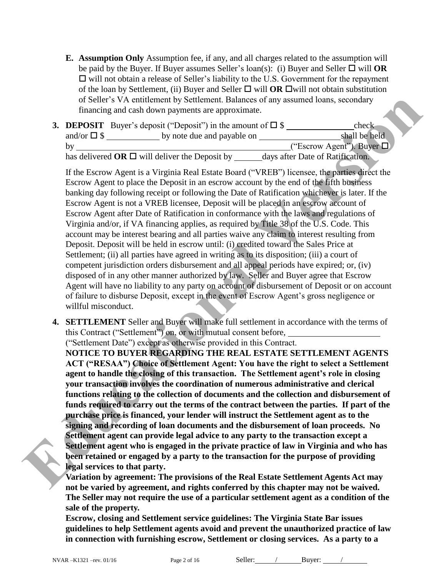**E. Assumption Only** Assumption fee, if any, and all charges related to the assumption will be paid by the Buyer. If Buyer assumes Seller's loan(s): (i) Buyer and Seller  $\Box$  will **OR**  $\Box$  will not obtain a release of Seller's liability to the U.S. Government for the repayment of the loan by Settlement, (ii) Buyer and Seller  $\Box$  will **OR**  $\Box$  will not obtain substitution of Seller's VA entitlement by Settlement. Balances of any assumed loans, secondary financing and cash down payments are approximate.

|                     | <b>3. DEPOSIT</b> Buyer's deposit ("Deposit") in the amount of $\square$ \, \, | check                            |
|---------------------|--------------------------------------------------------------------------------|----------------------------------|
| and/or $\square$ \$ | by note due and payable on                                                     | shall be held                    |
|                     |                                                                                | ("Escrow Agent"). Buyer $\Box$   |
|                     | has delivered OR $\Box$ will deliver the Deposit by                            | days after Date of Ratification. |

If the Escrow Agent is a Virginia Real Estate Board ("VREB") licensee, the parties direct the Escrow Agent to place the Deposit in an escrow account by the end of the fifth business banking day following receipt or following the Date of Ratification whichever is later. If the Escrow Agent is not a VREB licensee, Deposit will be placed in an escrow account of Escrow Agent after Date of Ratification in conformance with the laws and regulations of Virginia and/or, if VA financing applies, as required by Title 38 of the U.S. Code. This account may be interest bearing and all parties waive any claim to interest resulting from Deposit. Deposit will be held in escrow until: (i) credited toward the Sales Price at Settlement; (ii) all parties have agreed in writing as to its disposition; (iii) a court of competent jurisdiction orders disbursement and all appeal periods have expired; or, (iv) disposed of in any other manner authorized by law. Seller and Buyer agree that Escrow Agent will have no liability to any party on account of disbursement of Deposit or on account of failure to disburse Deposit, except in the event of Escrow Agent's gross negligence or willful misconduct. of Seller's VN, entitienenent by Seltternent Dalances of ony assumed loans, secondary<br>
frameing and each down payments are approximate.<br> **EDUCATE THE SECON ARTIFICATE TO A SUBLIC TO THE SUBLIC TO THE SUBLIC TO THE SUBLIC T** 

**4. SETTLEMENT** Seller and Buyer will make full settlement in accordance with the terms of this Contract ("Settlement") on, or with mutual consent before,

("Settlement Date") except as otherwise provided in this Contract.

**NOTICE TO BUYER REGARDING THE REAL ESTATE SETTLEMENT AGENTS ACT ("RESAA") Choice of Settlement Agent: You have the right to select a Settlement agent to handle the closing of this transaction. The Settlement agent's role in closing your transaction involves the coordination of numerous administrative and clerical functions relating to the collection of documents and the collection and disbursement of funds required to carry out the terms of the contract between the parties. If part of the purchase price is financed, your lender will instruct the Settlement agent as to the signing and recording of loan documents and the disbursement of loan proceeds. No Settlement agent can provide legal advice to any party to the transaction except a Settlement agent who is engaged in the private practice of law in Virginia and who has been retained or engaged by a party to the transaction for the purpose of providing legal services to that party.** 

**Variation by agreement: The provisions of the Real Estate Settlement Agents Act may not be varied by agreement, and rights conferred by this chapter may not be waived. The Seller may not require the use of a particular settlement agent as a condition of the sale of the property.** 

**Escrow, closing and Settlement service guidelines: The Virginia State Bar issues guidelines to help Settlement agents avoid and prevent the unauthorized practice of law in connection with furnishing escrow, Settlement or closing services. As a party to a**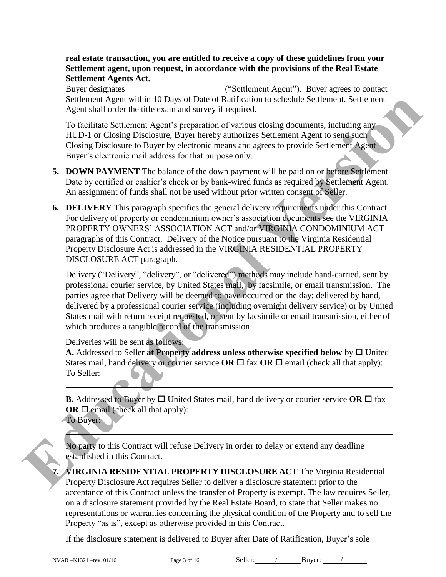#### **real estate transaction, you are entitled to receive a copy of these guidelines from your Settlement agent, upon request, in accordance with the provisions of the Real Estate Settlement Agents Act.**

Buyer designates ("Settlement Agent"). Buyer agrees to contact Settlement Agent within 10 Days of Date of Ratification to schedule Settlement. Settlement Agent shall order the title exam and survey if required.

To facilitate Settlement Agent's preparation of various closing documents, including any HUD-1 or Closing Disclosure, Buyer hereby authorizes Settlement Agent to send such Closing Disclosure to Buyer by electronic means and agrees to provide Settlement Agent Buyer's electronic mail address for that purpose only.

- **5. DOWN PAYMENT** The balance of the down payment will be paid on or before Settlement Date by certified or cashier's check or by bank-wired funds as required by Settlement Agent. An assignment of funds shall not be used without prior written consent of Seller.
- **6. DELIVERY** This paragraph specifies the general delivery requirements under this Contract. For delivery of property or condominium owner's association documents see the VIRGINIA PROPERTY OWNERS' ASSOCIATION ACT and/or VIRGINIA CONDOMINIUM ACT paragraphs of this Contract. Delivery of the Notice pursuant to the Virginia Residential Property Disclosure Act is addressed in the VIRGINIA RESIDENTIAL PROPERTY DISCLOSURE ACT paragraph. Settlement. Agent within 10 Days of Daze of Ratification to schedule Settlement. Settlement<br>
Agent shall order the title exam and survey if required.<br>
To facilitate Scheducation of various control of various contents, incl

Delivery ("Delivery", "delivery", or "delivered") methods may include hand-carried, sent by professional courier service, by United States mail, by facsimile, or email transmission. The parties agree that Delivery will be deemed to have occurred on the day: delivered by hand, delivered by a professional courier service (including overnight delivery service) or by United States mail with return receipt requested, or sent by facsimile or email transmission, either of which produces a tangible record of the transmission.

Deliveries will be sent as follows:

A. Addressed to Seller at **Property address unless otherwise specified below** by  $\Box$  United States mail, hand delivery or courier service **OR**  $\Box$  fax **OR**  $\Box$  email (check all that apply): To Seller:

**B.** Addressed to Buyer by  $\Box$  United States mail, hand delivery or courier service OR  $\Box$  fax **OR**  $\Box$  email (check all that apply):

To Buyer:



No party to this Contract will refuse Delivery in order to delay or extend any deadline established in this Contract.

**7. VIRGINIA RESIDENTIAL PROPERTY DISCLOSURE ACT** The Virginia Residential Property Disclosure Act requires Seller to deliver a disclosure statement prior to the acceptance of this Contract unless the transfer of Property is exempt. The law requires Seller, on a disclosure statement provided by the Real Estate Board, to state that Seller makes no representations or warranties concerning the physical condition of the Property and to sell the Property "as is", except as otherwise provided in this Contract.

If the disclosure statement is delivered to Buyer after Date of Ratification, Buyer's sole

l

l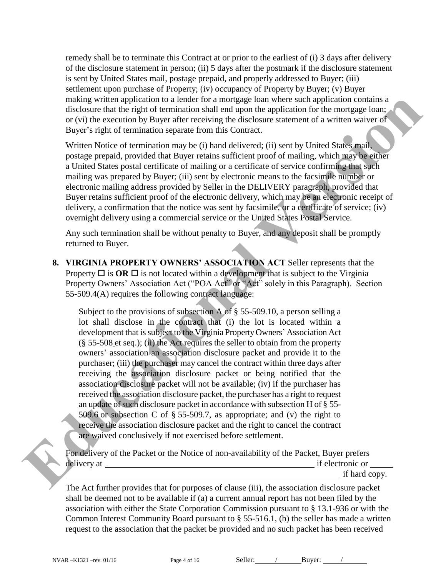remedy shall be to terminate this Contract at or prior to the earliest of (i) 3 days after delivery of the disclosure statement in person; (ii) 5 days after the postmark if the disclosure statement is sent by United States mail, postage prepaid, and properly addressed to Buyer; (iii) settlement upon purchase of Property; (iv) occupancy of Property by Buyer; (v) Buyer making written application to a lender for a mortgage loan where such application contains a disclosure that the right of termination shall end upon the application for the mortgage loan; or (vi) the execution by Buyer after receiving the disclosure statement of a written waiver of Buyer's right of termination separate from this Contract.

Written Notice of termination may be (i) hand delivered; (ii) sent by United States mail, postage prepaid, provided that Buyer retains sufficient proof of mailing, which may be either a United States postal certificate of mailing or a certificate of service confirming that such mailing was prepared by Buyer; (iii) sent by electronic means to the facsimile number or electronic mailing address provided by Seller in the DELIVERY paragraph, provided that Buyer retains sufficient proof of the electronic delivery, which may be an electronic receipt of delivery, a confirmation that the notice was sent by facsimile, or a certificate of service; (iv) overnight delivery using a commercial service or the United States Postal Service.

Any such termination shall be without penalty to Buyer, and any deposit shall be promptly returned to Buyer.

**8. VIRGINIA PROPERTY OWNERS' ASSOCIATION ACT** Seller represents that the Property  $\Box$  is **OR**  $\Box$  is not located within a development that is subject to the Virginia Property Owners' Association Act ("POA Act" or "Act" solely in this Paragraph). Section 55-509.4(A) requires the following contract language:

Subject to the provisions of subsection A of § 55-509.10, a person selling a lot shall disclose in the contract that (i) the lot is located within a development that is subject to the Virginia Property Owners' Association Act (§ 55-508 et seq.); (ii) the Act requires the seller to obtain from the property owners' association an association disclosure packet and provide it to the purchaser; (iii) the purchaser may cancel the contract within three days after receiving the association disclosure packet or being notified that the association disclosure packet will not be available; (iv) if the purchaser has received the association disclosure packet, the purchaser has a right to request an update of such disclosure packet in accordance with subsection H of § 55- 509.6 or subsection C of  $\S$  55-509.7, as appropriate; and (v) the right to receive the association disclosure packet and the right to cancel the contract are waived conclusively if not exercised before settlement. mainly writen application to a lender for a moregage loans where welve in the result of the conservation by Bayer after receiving the disclosure that the result of a various of the second by Bayer after receiving the discl



The Act further provides that for purposes of clause (iii), the association disclosure packet shall be deemed not to be available if (a) a current annual report has not been filed by the association with either the State Corporation Commission pursuant to § [13.1-936](http://leg1.state.va.us/cgi-bin/legp504.exe?000+cod+13.1-936) or with the Common Interest Community Board pursuant to § [55-516.1,](http://leg1.state.va.us/cgi-bin/legp504.exe?000+cod+55-516.1) (b) the seller has made a written request to the association that the packet be provided and no such packet has been received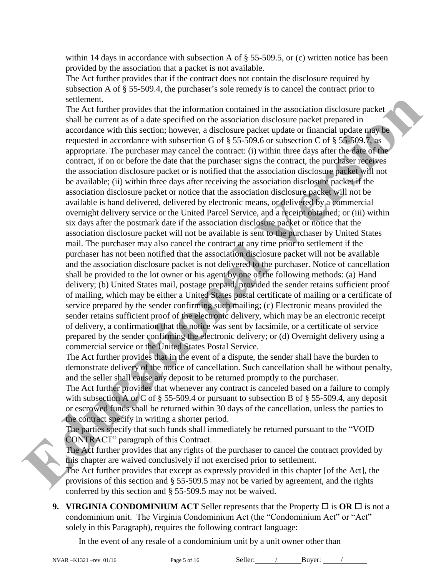within 14 days in accordance with subsection A of § [55-509.5,](http://leg1.state.va.us/cgi-bin/legp504.exe?000+cod+55-509.5) or (c) written notice has been provided by the association that a packet is not available.

The Act further provides that if the contract does not contain the disclosure required by subsection A of § 55-509.4, the purchaser's sole remedy is to cancel the contract prior to settlement.

The Act further provides that the information contained in the association disclosure packet shall be current as of a date specified on the association disclosure packet prepared in accordance with this section; however, a disclosure packet update or financial update may be requested in accordance with subsection G of  $\S$  55-509.6 or subsection C of  $\S$  55-509.7, as appropriate. The purchaser may cancel the contract: (i) within three days after the date of the contract, if on or before the date that the purchaser signs the contract, the purchaser receives the association disclosure packet or is notified that the association disclosure packet will not be available; (ii) within three days after receiving the association disclosure packet if the association disclosure packet or notice that the association disclosure packet will not be available is hand delivered, delivered by electronic means, or delivered by a commercial overnight delivery service or the United Parcel Service, and a receipt obtained; or (iii) within six days after the postmark date if the association disclosure packet or notice that the association disclosure packet will not be available is sent to the purchaser by United States mail. The purchaser may also cancel the contract at any time prior to settlement if the purchaser has not been notified that the association disclosure packet will not be available and the association disclosure packet is not delivered to the purchaser. Notice of cancellation shall be provided to the lot owner or his agent by one of the following methods: (a) Hand delivery; (b) United States mail, postage prepaid, provided the sender retains sufficient proof of mailing, which may be either a United States postal certificate of mailing or a certificate of service prepared by the sender confirming such mailing; (c) Electronic means provided the sender retains sufficient proof of the electronic delivery, which may be an electronic receipt of delivery, a confirmation that the notice was sent by facsimile, or a certificate of service prepared by the sender confirming the electronic delivery; or (d) Overnight delivery using a commercial service or the United States Postal Service. settlement.<br>
The Act further provides that the informat[io](http://leg1.state.va.us/cgi-bin/legp504.exe?000+cod+55-509.7)n contained in the association disclosure packet<br>
shall be current as of a duals specified on the association disclosure packet presenced in a<br>corondance with hais s

The Act further provides that in the event of a dispute, the sender shall have the burden to demonstrate delivery of the notice of cancellation. Such cancellation shall be without penalty, and the seller shall cause any deposit to be returned promptly to the purchaser.

The Act further provides that whenever any contract is canceled based on a failure to comply with subsection A or C of  $\S$  55-509.4 or pursuant to subsection B of  $\S$  55-509.4, any deposit or escrowed funds shall be returned within 30 days of the cancellation, unless the parties to the contract specify in writing a shorter period.

The parties specify that such funds shall immediately be returned pursuant to the "VOID CONTRACT" paragraph of this Contract.

The Act further provides that any rights of the purchaser to cancel the contract provided by this chapter are waived conclusively if not exercised prior to settlement.

The Act further provides that except as expressly provided in this chapter [of the Act], the provisions of this section and § 55-509.5 may not be varied by agreement, and the rights conferred by this section and § [55-509.5](http://leg1.state.va.us/cgi-bin/legp504.exe?000+cod+55-509.5) may not be waived.

**9. VIRGINIA CONDOMINIUM ACT** Seller represents that the Property  $\Box$  is **OR**  $\Box$  is not a condominium unit. The Virginia Condominium Act (the "Condominium Act" or "Act" solely in this Paragraph), requires the following contract language:

In the event of any resale of a condominium unit by a unit owner other than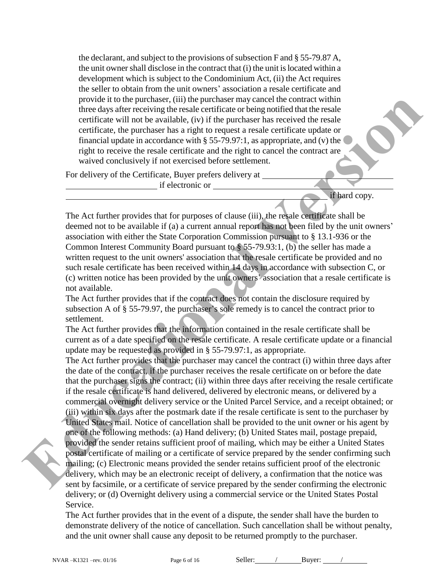the declarant, and subject to the provisions of subsection F and § 55-79.87 A, the unit owner shall disclose in the contract that (i) the unit is located within a development which is subject to the Condominium Act, (ii) the Act requires the seller to obtain from the unit owners' association a resale certificate and provide it to the purchaser, (iii) the purchaser may cancel the contract within three days after receiving the resale certificate or being notified that the resale certificate will not be available, (iv) if the purchaser has received the resale certificate, the purchaser has a right to request a resale certificate update or financial update in accordance with  $\S 55-79.97:1$ , as appropriate, and (v) the right to receive the resale certificate and the right to cancel the contract are waived conclusively if not exercised before settlement.

For delivery of the Certificate, Buyer prefers delivery at

if electronic or

if hard copy.

The Act further provides that for purposes of clause (iii), the resale certificate shall be deemed not to be available if (a) a current annual report has not been filed by the unit owners' association with either the State Corporation Commission pursuant to § 13.1-936 or the Common Interest Community Board pursuant to § 55-79.93:1, (b) the seller has made a written request to the unit owners' association that the resale certificate be provided and no such resale certificate has been received within 14 days in accordance with subsection C, or (c) written notice has been provided by the unit owners' association that a resale certificate is not available.

The Act further provides that if the contract does not contain the disclosure required by subsection A of § 55-79.97, the purchaser's sole remedy is to cancel the contract prior to settlement.

The Act further provides that the information contained in the resale certificate shall be current as of a date specified on the resale certificate. A resale certificate update or a financial update may be requested as provided in § 55-79.97:1, as appropriate.

The Act further provides that the purchaser may cancel the contract (i) within three days after the date of the contract, if the purchaser receives the resale certificate on or before the date that the purchaser signs the contract; (ii) within three days after receiving the resale certificate if the resale certificate is hand delivered, delivered by electronic means, or delivered by a commercial overnight delivery service or the United Parcel Service, and a receipt obtained; or (iii) within six days after the postmark date if the resale certificate is sent to the purchaser by United States mail. Notice of cancellation shall be provided to the unit owner or his agent by one of the following methods: (a) Hand delivery; (b) United States mail, postage prepaid, provided the sender retains sufficient proof of mailing, which may be either a United States postal certificate of mailing or a certificate of service prepared by the sender confirming such mailing; (c) Electronic means provided the sender retains sufficient proof of the electronic delivery, which may be an electronic receipt of delivery, a confirmation that the notice was sent by facsimile, or a certificate of service prepared by the sender confirming the electronic delivery; or (d) Overnight delivery using a commercial service or the United States Postal Service. provide it to the purchaser (iii) the purchaser may cancel the contract within the contribution of the control of the such contribution (iii) and the avisable contribution (iii) and the such contribution (iii) and the such

> The Act further provides that in the event of a dispute, the sender shall have the burden to demonstrate delivery of the notice of cancellation. Such cancellation shall be without penalty, and the unit owner shall cause any deposit to be returned promptly to the purchaser.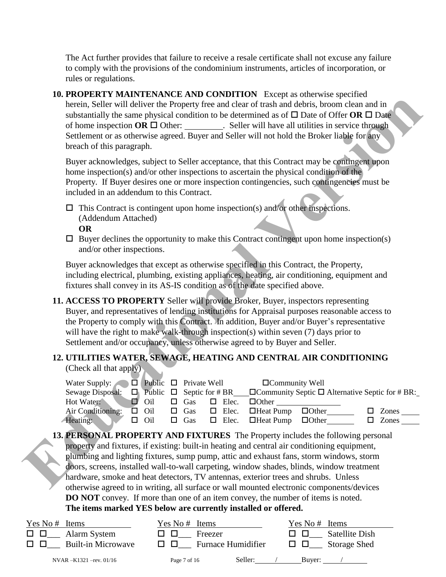The Act further provides that failure to receive a resale certificate shall not excuse any failure to comply with the provisions of the condominium instruments, articles of incorporation, or rules or regulations.

**10. PROPERTY MAINTENANCE AND CONDITION** Except as otherwise specified herein, Seller will deliver the Property free and clear of trash and debris, broom clean and in substantially the same physical condition to be determined as of  $\Box$  Date of Offer **OR**  $\Box$  Date of home inspection  $OR \Box$  Other: ... Seller will have all utilities in service through Settlement or as otherwise agreed. Buyer and Seller will not hold the Broker liable for any breach of this paragraph.

Buyer acknowledges, subject to Seller acceptance, that this Contract may be contingent upon home inspection(s) and/or other inspections to ascertain the physical condition of the Property. If Buyer desires one or more inspection contingencies, such contingencies must be included in an addendum to this Contract.

- $\Box$  This Contract is contingent upon home inspection(s) and/or other inspections. (Addendum Attached)
	- **OR**
- $\Box$  Buyer declines the opportunity to make this Contract contingent upon home inspection(s) and/or other inspections.

Buyer acknowledges that except as otherwise specified in this Contract, the Property, including electrical, plumbing, existing appliances, heating, air conditioning, equipment and fixtures shall convey in its AS-IS condition as of the date specified above.

**11. ACCESS TO PROPERTY** Seller will provide Broker, Buyer, inspectors representing Buyer, and representatives of lending institutions for Appraisal purposes reasonable access to the Property to comply with this Contract. In addition, Buyer and/or Buyer's representative will have the right to make walk-through inspection(s) within seven (7) days prior to Settlement and/or occupancy, unless otherwise agreed to by Buyer and Seller.

# **12. UTILITIES WATER, SEWAGE, HEATING AND CENTRAL AIR CONDITIONING**

(Check all that apply)

| Water Supply: $\Box$ Public $\Box$ Private Well |            |            |              | $\Box$ Community Well                                                                            |              |       |
|-------------------------------------------------|------------|------------|--------------|--------------------------------------------------------------------------------------------------|--------------|-------|
| Sewage Disposal:                                |            |            |              | $\Box$ Public $\Box$ Septic for # BR $\Box$ Community Septic $\Box$ Alternative Septic for # BR: |              |       |
| Hot Water:                                      | Oil        | $\Box$ Gas | $\Box$ Elec. | $\Box$ Other                                                                                     |              |       |
| Air Conditioning:                               | $\Box$ Oil | $\Box$ Gas |              | $\Box$ Elec. $\Box$ Heat Pump $\Box$ Other                                                       |              | Zones |
| Heating:                                        | Oil        | $\Box$ Gas |              | $\Box$ Elec. $\Box$ Heat Pump                                                                    | $\Box$ Other | Zones |

**13. PERSONAL PROPERTY AND FIXTURES** The Property includes the following personal property and fixtures, if existing: built-in heating and central air conditioning equipment, plumbing and lighting fixtures, sump pump, attic and exhaust fans, storm windows, storm doors, screens, installed wall-to-wall carpeting, window shades, blinds, window treatment hardware, smoke and heat detectors, TV antennas, exterior trees and shrubs. Unless otherwise agreed to in writing, all surface or wall mounted electronic components/devices **DO NOT** convey. If more than one of an item convey, the number of items is noted. **The items marked YES below are currently installed or offered. Example 12** that will delive the Property free and clear of make deliver, however all the control in the state will have the property of the control of the state in the state of the state of the state in the state of the

| Yes No # Items            | Yes No # Items            | Yes No $#$ Items      |
|---------------------------|---------------------------|-----------------------|
| □□                        | Freezer                   | <b>Satellite Dish</b> |
| Alarm System              | பப                        | <b>LI LI</b>          |
| <b>Built-in Microwave</b> | <b>Furnace Humidifier</b> | Storage Shed          |
| 0 O                       | 1 I I I I                 | <b>UU</b>             |
| NVAR $-K1321$ -rev. 01/16 | Seller:<br>Page 7 of 16   | Buyer:                |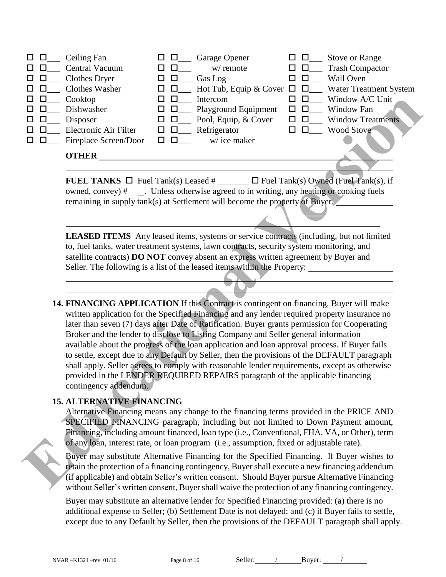| □□          | Ceiling Fan           | பப               | Garage Opener        |   |        | <b>Stove or Range</b>                                       |
|-------------|-----------------------|------------------|----------------------|---|--------|-------------------------------------------------------------|
| 0 O         | Central Vacuum        |                  | w/ remote            | ப | Ц      | <b>Trash Compactor</b>                                      |
| $\Box$<br>ப | Clothes Dryer         | $\Box$           | Gas Log              |   |        | <b>Wall Oven</b>                                            |
| $\Box$      | Clothes Washer        | O 0              |                      |   |        | Hot Tub, Equip & Cover $\Box$ $\Box$ Water Treatment System |
| 0 O         | Cooktop               |                  | Intercom             |   |        | Window A/C Unit                                             |
| 0 O         | Dishwasher            | O 0              | Playground Equipment | ப | $\Box$ | Window Fan                                                  |
| $\Box$      | Disposer              | $\Box$<br>ப      | Pool, Equip, & Cover | □ | $\Box$ | <b>Window Treatments</b>                                    |
| $\Box$      | Electronic Air Filter | $\Box$<br>□      | Refrigerator         |   | □      | Wood Stove                                                  |
| $\Box$      | Fireplace Screen/Door | $\Box$<br>$\Box$ | w/ice maker          |   |        |                                                             |
|             | <b>OTHER</b>          |                  |                      |   |        |                                                             |
|             |                       |                  |                      |   |        |                                                             |

**FUEL TANKS**  $\Box$  Fuel Tank(s) Leased #  $\Box$  Fuel Tank(s) Owned (Fuel Tank(s), if owned, convey) # . Unless otherwise agreed to in writing, any heating or cooking fuels remaining in supply tank(s) at Settlement will become the property of Buyer.

**LEASED ITEMS** Any leased items, systems or service contracts (including, but not limited to, fuel tanks, water treatment systems, lawn contracts, security system monitoring, and satellite contracts) **DO NOT** convey absent an express written agreement by Buyer and Seller. The following is a list of the leased items within the Property:

**14. FINANCING APPLICATION** If this Contract is contingent on financing, Buyer will make written application for the Specified Financing and any lender required property insurance no later than seven (7) days after Date of Ratification. Buyer grants permission for Cooperating Broker and the lender to disclose to Listing Company and Seller general information available about the progress of the loan application and loan approval process. If Buyer fails to settle, except due to any Default by Seller, then the provisions of the DEFAULT paragraph shall apply. Seller agrees to comply with reasonable lender requirements, except as otherwise provided in the LENDER REQUIRED REPAIRS paragraph of the applicable financing contingency addendum. **EDUCATION** The Constant of the property and the property interaction of the property of the spin of the spin of the spin of the spin of the spin of the spin of the spin of the spin of the spin of the spin of the spin of t

#### **15. ALTERNATIVE FINANCING**

 $\overline{a}$ l

 $\overline{a}$ 

Alternative Financing means any change to the financing terms provided in the PRICE AND SPECIFIED FINANCING paragraph, including but not limited to Down Payment amount, Financing, including amount financed, loan type (i.e., Conventional, FHA, VA, or Other), term of any loan, interest rate, or loan program (i.e., assumption, fixed or adjustable rate).

Buyer may substitute Alternative Financing for the Specified Financing. If Buyer wishes to retain the protection of a financing contingency, Buyer shall execute a new financing addendum (if applicable) and obtain Seller's written consent. Should Buyer pursue Alternative Financing without Seller's written consent, Buyer shall waive the protection of any financing contingency.

Buyer may substitute an alternative lender for Specified Financing provided: (a) there is no additional expense to Seller; (b) Settlement Date is not delayed; and (c) if Buyer fails to settle, except due to any Default by Seller, then the provisions of the DEFAULT paragraph shall apply.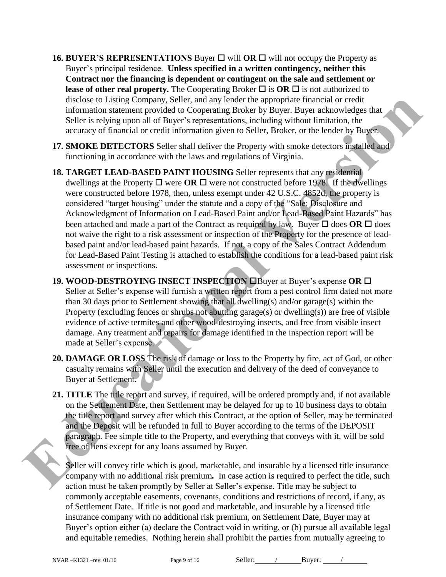- **16. BUYER'S REPRESENTATIONS** Buyer  $\Box$  will **OR**  $\Box$  will not occupy the Property as Buyer's principal residence. **Unless specified in a written contingency, neither this Contract nor the financing is dependent or contingent on the sale and settlement or lease of other real property.** The Cooperating Broker  $\Box$  is **OR**  $\Box$  is not authorized to disclose to Listing Company, Seller, and any lender the appropriate financial or credit information statement provided to Cooperating Broker by Buyer. Buyer acknowledges that Seller is relying upon all of Buyer's representations, including without limitation, the accuracy of financial or credit information given to Seller, Broker, or the lender by Buyer.
- **17. SMOKE DETECTORS** Seller shall deliver the Property with smoke detectors installed and functioning in accordance with the laws and regulations of Virginia.
- **18. TARGET LEAD-BASED PAINT HOUSING** Seller represents that any residential dwellings at the Property  $\Box$  were  $\Box$  were not constructed before 1978. If the dwellings were constructed before 1978, then, unless exempt under 42 U.S.C. 4852d, the property is considered "target housing" under the statute and a copy of the "Sale: Disclosure and Acknowledgment of Information on Lead-Based Paint and/or Lead-Based Paint Hazards" has been attached and made a part of the Contract as required by law. Buyer  $\Box$  does OR  $\Box$  does not waive the right to a risk assessment or inspection of the Property for the presence of leadbased paint and/or lead-based paint hazards. If not, a copy of the Sales Contract Addendum for Lead-Based Paint Testing is attached to establish the conditions for a lead-based paint risk assessment or inspections. discose to Listing Company, Seller, and any bender the appropriate francation credit<br>information statement provided to: Cooperating Hower by Buyer. Huyer acknowledges that<br>Seller is evolving yop at lot 10 for goes respecta
	- **19. WOOD-DESTROYING INSECT INSPECTION <b>E**Buyer at Buyer's expense **OR** E Seller at Seller's expense will furnish a written report from a pest control firm dated not more than 30 days prior to Settlement showing that all dwelling(s) and/or garage(s) within the Property (excluding fences or shrubs not abutting garage(s) or dwelling(s)) are free of visible evidence of active termites and other wood-destroying insects, and free from visible insect damage. Any treatment and repairs for damage identified in the inspection report will be made at Seller's expense.
	- **20. DAMAGE OR LOSS** The risk of damage or loss to the Property by fire, act of God, or other casualty remains with Seller until the execution and delivery of the deed of conveyance to Buyer at Settlement.
	- **21. TITLE** The title report and survey, if required, will be ordered promptly and, if not available on the Settlement Date, then Settlement may be delayed for up to 10 business days to obtain the title report and survey after which this Contract, at the option of Seller, may be terminated and the Deposit will be refunded in full to Buyer according to the terms of the DEPOSIT paragraph. Fee simple title to the Property, and everything that conveys with it, will be sold free of liens except for any loans assumed by Buyer.

Seller will convey title which is good, marketable, and insurable by a licensed title insurance company with no additional risk premium*.* In case action is required to perfect the title, such action must be taken promptly by Seller at Seller's expense. Title may be subject to commonly acceptable easements, covenants, conditions and restrictions of record, if any, as of Settlement Date. If title is not good and marketable, and insurable by a licensed title insurance company with no additional risk premium, on Settlement Date, Buyer may at Buyer's option either (a) declare the Contract void in writing, or (b) pursue all available legal and equitable remedies. Nothing herein shall prohibit the parties from mutually agreeing to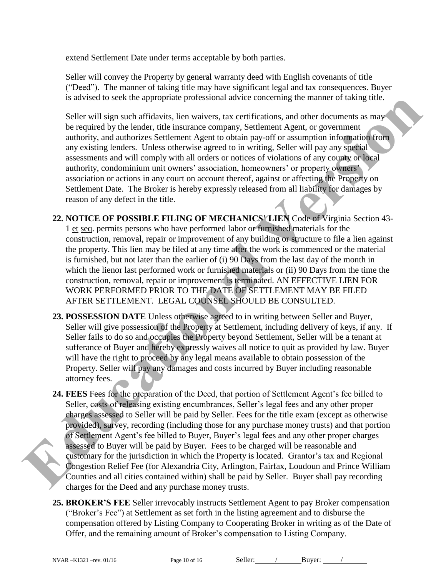extend Settlement Date under terms acceptable by both parties.

Seller will convey the Property by general warranty deed with English covenants of title ("Deed").The manner of taking title may have significant legal and tax consequences. Buyer is advised to seek the appropriate professional advice concerning the manner of taking title.

Seller will sign such affidavits, lien waivers, tax certifications, and other documents as may be required by the lender, title insurance company, Settlement Agent, or government authority, and authorizes Settlement Agent to obtain pay-off or assumption information from any existing lenders. Unless otherwise agreed to in writing, Seller will pay any special assessments and will comply with all orders or notices of violations of any county or local authority, condominium unit owners' association, homeowners' or property owners' association or actions in any court on account thereof, against or affecting the Property on Settlement Date. The Broker is hereby expressly released from all liability for damages by reason of any defect in the title.

**22. NOTICE OF POSSIBLE FILING OF MECHANICS' LIEN** Code of Virginia Section 43- 1 et seq. permits persons who have performed labor or furnished materials for the construction, removal, repair or improvement of any building or structure to file a lien against the property. This lien may be filed at any time after the work is commenced or the material is furnished, but not later than the earlier of  $(i)$  90 Days from the last day of the month in which the lienor last performed work or furnished materials or (ii) 90 Days from the time the construction, removal, repair or improvement is terminated. AN EFFECTIVE LIEN FOR WORK PERFORMED PRIOR TO THE DATE OF SETTLEMENT MAY BE FILED AFTER SETTLEMENT. LEGAL COUNSEL SHOULD BE CONSULTED.

- **23. POSSESSION DATE** Unless otherwise agreed to in writing between Seller and Buyer, Seller will give possession of the Property at Settlement, including delivery of keys, if any. If Seller fails to do so and occupies the Property beyond Settlement, Seller will be a tenant at sufferance of Buyer and hereby expressly waives all notice to quit as provided by law. Buyer will have the right to proceed by any legal means available to obtain possession of the Property. Seller will pay any damages and costs incurred by Buyer including reasonable attorney fees.
- **24. FEES** Fees for the preparation of the Deed, that portion of Settlement Agent's fee billed to Seller, costs of releasing existing encumbrances, Seller's legal fees and any other proper charges assessed to Seller will be paid by Seller. Fees for the title exam (except as otherwise provided), survey, recording (including those for any purchase money trusts) and that portion of Settlement Agent's fee billed to Buyer, Buyer's legal fees and any other proper charges assessed to Buyer will be paid by Buyer. Fees to be charged will be reasonable and customary for the jurisdiction in which the Property is located. Grantor's tax and Regional Congestion Relief Fee (for Alexandria City, Arlington, Fairfax, Loudoun and Prince William Counties and all cities contained within) shall be paid by Seller. Buyer shall pay recording charges for the Deed and any purchase money trusts. **Example 18 and Version and Version and Version and Version and Only the Taumer of Lating titles<br>
Select will sign and antifactorial incomparison and only decoments as more determined by the lender. this content<br>
are compa** 
	- **25. BROKER'S FEE** Seller irrevocably instructs Settlement Agent to pay Broker compensation ("Broker's Fee") at Settlement as set forth in the listing agreement and to disburse the compensation offered by Listing Company to Cooperating Broker in writing as of the Date of Offer, and the remaining amount of Broker's compensation to Listing Company.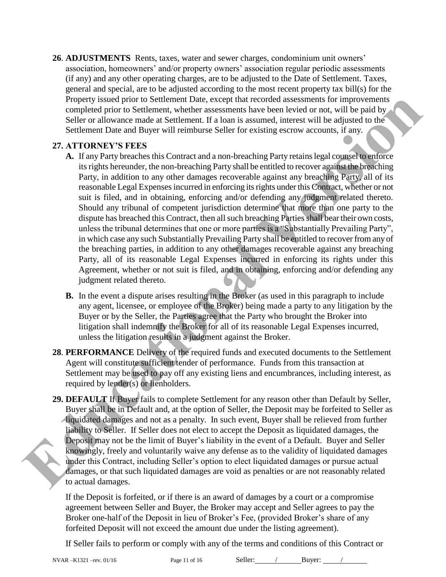**26**. **ADJUSTMENTS** Rents, taxes, water and sewer charges, condominium unit owners' association, homeowners' and/or property owners' association regular periodic assessments (if any) and any other operating charges, are to be adjusted to the Date of Settlement. Taxes, general and special, are to be adjusted according to the most recent property tax bill(s) for the Property issued prior to Settlement Date, except that recorded assessments for improvements completed prior to Settlement, whether assessments have been levied or not, will be paid by Seller or allowance made at Settlement. If a loan is assumed, interest will be adjusted to the Settlement Date and Buyer will reimburse Seller for existing escrow accounts, if any.

#### **27. ATTORNEY'S FEES**

- **A.** If any Party breaches this Contract and a non-breaching Party retains legal counsel to enforce its rights hereunder, the non-breaching Party shall be entitled to recover against the breaching Party, in addition to any other damages recoverable against any breaching Party, all of its reasonable Legal Expenses incurred in enforcing its rights under this Contract, whether or not suit is filed, and in obtaining, enforcing and/or defending any judgment related thereto. Should any tribunal of competent jurisdiction determine that more than one party to the dispute has breached this Contract, then all such breaching Parties shall bear their own costs, unless the tribunal determines that one or more parties is a "Substantially Prevailing Party", in which case any such Substantially Prevailing Party shall be entitled to recover from any of the breaching parties, in addition to any other damages recoverable against any breaching Party, all of its reasonable Legal Expenses incurred in enforcing its rights under this Agreement, whether or not suit is filed, and in obtaining, enforcing and/or defending any judgment related thereto. Property issued for or Settlement Date, except that recorded assessments for improvements of the paid by<br>
Seller or a Settlement. Whether assessments have been levied or not, will be paid by<br>
Seller or allowance made at Se
	- **B.** In the event a dispute arises resulting in the Broker (as used in this paragraph to include any agent, licensee, or employee of the Broker) being made a party to any litigation by the Buyer or by the Seller, the Parties agree that the Party who brought the Broker into litigation shall indemnify the Broker for all of its reasonable Legal Expenses incurred, unless the litigation results in a judgment against the Broker.
	- **28**. **PERFORMANCE** Delivery of the required funds and executed documents to the Settlement Agent will constitute sufficient tender of performance. Funds from this transaction at Settlement may be used to pay off any existing liens and encumbrances, including interest, as required by lender(s) or lienholders.
	- **29. DEFAULT** If Buyer fails to complete Settlement for any reason other than Default by Seller, Buyer shall be in Default and, at the option of Seller, the Deposit may be forfeited to Seller as liquidated damages and not as a penalty. In such event, Buyer shall be relieved from further liability to Seller. If Seller does not elect to accept the Deposit as liquidated damages, the Deposit may not be the limit of Buyer's liability in the event of a Default. Buyer and Seller knowingly, freely and voluntarily waive any defense as to the validity of liquidated damages under this Contract, including Seller's option to elect liquidated damages or pursue actual damages, or that such liquidated damages are void as penalties or are not reasonably related to actual damages.

If the Deposit is forfeited, or if there is an award of damages by a court or a compromise agreement between Seller and Buyer, the Broker may accept and Seller agrees to pay the Broker one-half of the Deposit in lieu of Broker's Fee, (provided Broker's share of any forfeited Deposit will not exceed the amount due under the listing agreement).

If Seller fails to perform or comply with any of the terms and conditions of this Contract or

NVAR –K1321 –rev. 01/16 Page 11 of 16 Seller: / Buyer: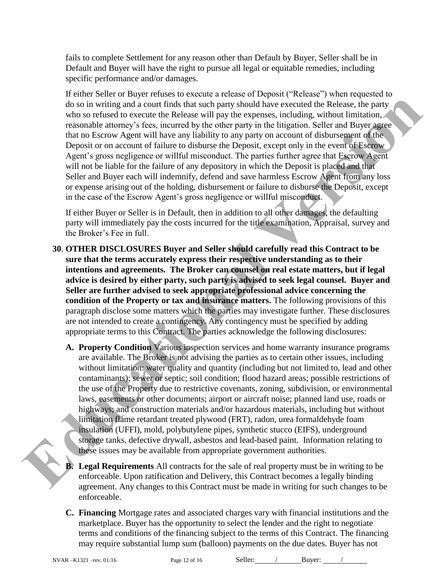fails to complete Settlement for any reason other than Default by Buyer, Seller shall be in Default and Buyer will have the right to pursue all legal or equitable remedies, including specific performance and/or damages.

If either Seller or Buyer refuses to execute a release of Deposit ("Release") when requested to do so in writing and a court finds that such party should have executed the Release, the party who so refused to execute the Release will pay the expenses, including, without limitation, reasonable attorney's fees, incurred by the other party in the litigation. Seller and Buyer agree that no Escrow Agent will have any liability to any party on account of disbursement of the Deposit or on account of failure to disburse the Deposit, except only in the event of Escrow Agent's gross negligence or willful misconduct. The parties further agree that Escrow Agent will not be liable for the failure of any depository in which the Deposit is placed and that Seller and Buyer each will indemnify, defend and save harmless Escrow Agent from any loss or expense arising out of the holding, disbursement or failure to disburse the Deposit, except in the case of the Escrow Agent's gross negligence or willful misconduct.

If either Buyer or Seller is in Default, then in addition to all other damages, the defaulting party will immediately pay the costs incurred for the title examination, Appraisal, survey and the Broker's Fee in full.

- **30**. **OTHER DISCLOSURES Buyer and Seller should carefully read this Contract to be sure that the terms accurately express their respective understanding as to their intentions and agreements. The Broker can counsel on real estate matters, but if legal advice is desired by either party, such party is advised to seek legal counsel. Buyer and Seller are further advised to seek appropriate professional advice concerning the condition of the Property or tax and insurance matters.** The following provisions of this paragraph disclose some matters which the parties may investigate further. These disclosures are not intended to create a contingency. Any contingency must be specified by adding appropriate terms to this Contract. The parties acknowledge the following disclosures:
- **A. Property Condition** Various inspection services and home warranty insurance programs are available. The Broker is not advising the parties as to certain other issues, including without limitation: water quality and quantity (including but not limited to, lead and other contaminants); sewer or septic; soil condition; flood hazard areas; possible restrictions of the use of the Property due to restrictive covenants, zoning, subdivision, or environmental laws, easements or other documents; airport or aircraft noise; planned land use, roads or highways; and construction materials and/or hazardous materials, including but without limitation flame retardant treated plywood (FRT), radon, urea formaldehyde foam insulation (UFFI), mold, polybutylene pipes, synthetic stucco (EIFS), underground storage tanks, defective drywall, asbestos and lead-based paint. Information relating to these issues may be available from appropriate government authorities. do so in writing and a count finds has such party should have exceused the Release.<br>
Which a so this such that we have the such as the such as the such as well as the such as well as the such a state of the only state and

**B. Legal Requirements** All contracts for the sale of real property must be in writing to be enforceable. Upon ratification and Delivery, this Contract becomes a legally binding agreement. Any changes to this Contract must be made in writing for such changes to be enforceable.

**C. Financing** Mortgage rates and associated charges vary with financial institutions and the marketplace. Buyer has the opportunity to select the lender and the right to negotiate terms and conditions of the financing subject to the terms of this Contract. The financing may require substantial lump sum (balloon) payments on the due dates. Buyer has not

NVAR –K1321 –rev. 01/16 Page 12 of 16 Seller: / Buyer: /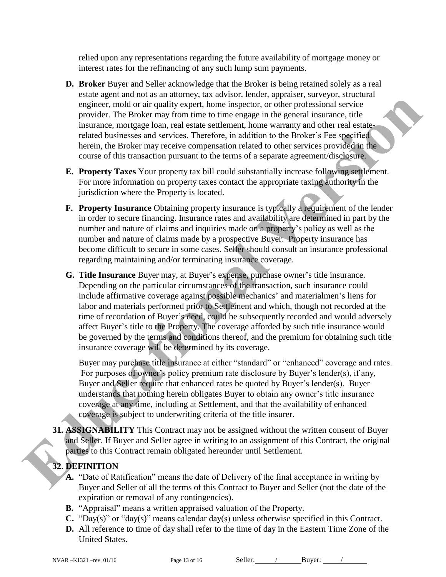relied upon any representations regarding the future availability of mortgage money or interest rates for the refinancing of any such lump sum payments.

- **D. Broker** Buyer and Seller acknowledge that the Broker is being retained solely as a real estate agent and not as an attorney, tax advisor, lender, appraiser, surveyor, structural engineer, mold or air quality expert, home inspector, or other professional service provider. The Broker may from time to time engage in the general insurance, title insurance, mortgage loan, real estate settlement, home warranty and other real estaterelated businesses and services. Therefore, in addition to the Broker's Fee specified herein, the Broker may receive compensation related to other services provided in the course of this transaction pursuant to the terms of a separate agreement/disclosure.
- **E. Property Taxes** Your property tax bill could substantially increase following settlement. For more information on property taxes contact the appropriate taxing authority in the jurisdiction where the Property is located.
- **F. Property Insurance** Obtaining property insurance is typically a requirement of the lender in order to secure financing. Insurance rates and availability are determined in part by the number and nature of claims and inquiries made on a property's policy as well as the number and nature of claims made by a prospective Buyer. Property insurance has become difficult to secure in some cases. Seller should consult an insurance professional regarding maintaining and/or terminating insurance coverage.
- **G. Title Insurance** Buyer may, at Buyer's expense, purchase owner's title insurance. Depending on the particular circumstances of the transaction, such insurance could include affirmative coverage against possible mechanics' and materialmen's liens for labor and materials performed prior to Settlement and which, though not recorded at the time of recordation of Buyer's deed, could be subsequently recorded and would adversely affect Buyer's title to the Property. The coverage afforded by such title insurance would be governed by the terms and conditions thereof, and the premium for obtaining such title insurance coverage will be determined by its coverage. experiment maintain the property alone for experiment are deterministic and the stational section and the stational section and the stational section and the stational section and the stational section and the stational ve

Buyer may purchase title insurance at either "standard" or "enhanced" coverage and rates. For purposes of owner's policy premium rate disclosure by Buyer's lender(s), if any, Buyer and Seller require that enhanced rates be quoted by Buyer's lender(s). Buyer understands that nothing herein obligates Buyer to obtain any owner's title insurance coverage at any time, including at Settlement, and that the availability of enhanced coverage is subject to underwriting criteria of the title insurer.

**31. ASSIGNABILITY** This Contract may not be assigned without the written consent of Buyer and Seller. If Buyer and Seller agree in writing to an assignment of this Contract, the original parties to this Contract remain obligated hereunder until Settlement.

## **32**. **DEFINITION**

- **A.** "Date of Ratification" means the date of Delivery of the final acceptance in writing by Buyer and Seller of all the terms of this Contract to Buyer and Seller (not the date of the expiration or removal of any contingencies).
- **B.** "Appraisal" means a written appraised valuation of the Property.
- **C.** "Day(s)" or "day(s)" means calendar day(s) unless otherwise specified in this Contract.
- **D.** All reference to time of day shall refer to the time of day in the Eastern Time Zone of the United States.

NVAR –K1321 –rev. 01/16 Page 13 of 16 Seller: / Buyer: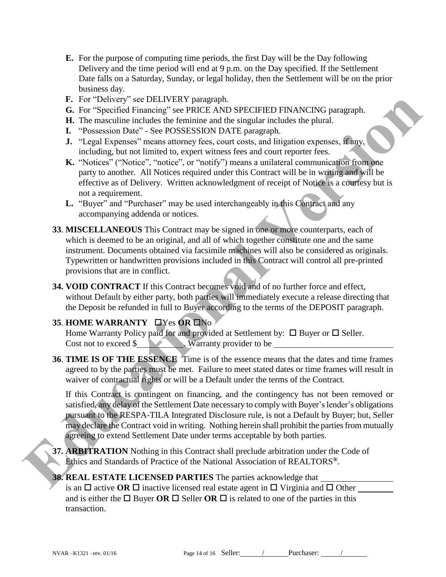- **E.** For the purpose of computing time periods, the first Day will be the Day following Delivery and the time period will end at 9 p.m. on the Day specified. If the Settlement Date falls on a Saturday, Sunday, or legal holiday, then the Settlement will be on the prior business day.
- **F.** For "Delivery" see DELIVERY paragraph.
- **G.** For "Specified Financing" see PRICE AND SPECIFIED FINANCING paragraph.
- **H.** The masculine includes the feminine and the singular includes the plural.
- **I.** "Possession Date" See POSSESSION DATE paragraph.
- **J.** "Legal Expenses" means attorney fees, court costs, and litigation expenses, if any, including, but not limited to, expert witness fees and court reporter fees.
- **K.** "Notices" ("Notice", "notice", or "notify") means a unilateral communication from one party to another. All Notices required under this Contract will be in writing and will be effective as of Delivery. Written acknowledgment of receipt of Notice is a courtesy but is not a requirement.
- **L.** "Buyer" and "Purchaser" may be used interchangeably in this Contract and any accompanying addenda or notices.
- **33**. **MISCELLANEOUS** This Contract may be signed in one or more counterparts, each of which is deemed to be an original, and all of which together constitute one and the same instrument. Documents obtained via facsimile machines will also be considered as originals. Typewritten or handwritten provisions included in this Contract will control all pre-printed provisions that are in conflict. **E.** For "Dolvoy" see DELIVERY paragraph.<br> **E.** For "Specified Financing" see PRICH.AND SPECIFIED FINANCING paragraph.<br> **H.** The massiuline induction and the simulation and the simulation respectively. The "Possession Data
	- **34. VOID CONTRACT** If this Contract becomes void and of no further force and effect, without Default by either party, both parties will immediately execute a release directing that the Deposit be refunded in full to Buyer according to the terms of the DEPOSIT paragraph.

## **35. HOME WARRANTY LYes OR LNo**

Home Warranty Policy paid for and provided at Settlement by:  $\Box$  Buyer or  $\Box$  Seller. Cost not to exceed \$ Warranty provider to be

**36**. **TIME IS OF THE ESSENCE** Time is of the essence means that the dates and time frames agreed to by the parties must be met. Failure to meet stated dates or time frames will result in waiver of contractual rights or will be a Default under the terms of the Contract.

If this Contract is contingent on financing, and the contingency has not been removed or satisfied, any delay of the Settlement Date necessary to comply with Buyer's lender's obligations pursuant to the RESPA-TILA Integrated Disclosure rule, is not a Default by Buyer; but, Seller may declare the Contract void in writing. Nothing herein shall prohibit the parties from mutually agreeing to extend Settlement Date under terms acceptable by both parties.

**37. ARBITRATION** Nothing in this Contract shall preclude arbitration under the Code of Ethics and Standards of Practice of the National Association of REALTORS**®** .

#### **38. REAL ESTATE LICENSED PARTIES** The parties acknowledge that is an  $\Box$  active **OR**  $\Box$  inactive licensed real estate agent in  $\Box$  Virginia and  $\Box$  Other and is either the  $\Box$  Buyer **OR**  $\Box$  Seller **OR**  $\Box$  is related to one of the parties in this transaction.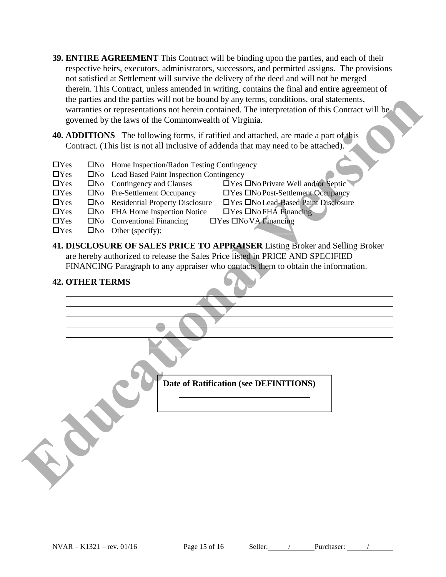- **39. ENTIRE AGREEMENT** This Contract will be binding upon the parties, and each of their respective heirs, executors, administrators, successors, and permitted assigns. The provisions not satisfied at Settlement will survive the delivery of the deed and will not be merged therein. This Contract, unless amended in writing, contains the final and entire agreement of the parties and the parties will not be bound by any terms, conditions, oral statements, warranties or representations not herein contained. The interpretation of this Contract will be governed by the laws of the Commonwealth of Virginia.
- **40. ADDITIONS** The following forms, if ratified and attached, are made a part of this Contract. (This list is not all inclusive of addenda that may need to be attached).
- $\Box$ Yes  $\Box$ No Home Inspection/Radon Testing Contingency  $\Box$  Yes  $\Box$  No Lead Based Paint Inspection Contingency  $\Box$  Yes  $\Box$  No Contingency and Clauses  $\Box$  Yes  $\Box$  No Private Well and/or Septic  $\Box$ Yes  $\Box$ No Pre-Settlement Occupancy  $\Box$ Yes  $\Box$ No Post-Settlement Occupancy Yes No Residential Property Disclosure Yes No Lead-Based Paint Disclosure  $\Box$ Yes  $\Box$ No FHA Home Inspection Notice  $\Box$ Yes  $\Box$ No FHA Financing  $\Box$ Yes  $\Box$ No Conventional Financing  $\Box$ Yes  $\Box$ No VA Financing  $\Box$ Yes  $\Box$ No Other (specify):  $\Box$
- **41. DISCLOSURE OF SALES PRICE TO APPRAISER** Listing Broker and Selling Broker are hereby authorized to release the Sales Price listed in PRICE AND SPECIFIED FINANCING Paragraph to any appraiser who contacts them to obtain the information.

#### **42. OTHER TERMS**

| $\Box$ Yes<br>$\Box$ Yes<br>$\Box$ Yes<br>$\Box$ Yes<br>$\Box$ Yes<br>$\Box$ Yes<br>$\Box$ Yes<br>$\Box$ Yes | governed by the laws of the Commonwealth of Virginia.<br><b>40. ADDITIONS</b> The following forms, if ratified and attached, are made a part of this<br>Contract. (This list is not all inclusive of addenda that may need to be attached).<br>□No Home Inspection/Radon Testing Contingency<br>□No Lead Based Paint Inspection Contingency<br>$\square$ No Contingency and Clauses<br>$\Box$ Yes $\Box$ No Private Well and/or Septic<br>□No Pre-Settlement Occupancy<br>□Yes □No Post-Settlement Occupancy<br>□No Residential Property Disclosure<br>□Yes □No Lead-Based Paint Disclosure<br>□No FHA Home Inspection Notice<br>$\Box$ Yes $\Box$ No FHA Financing<br>□No Conventional Financing<br>□Yes □No VA Financing<br>$\Box$ No Other (specify): |
|--------------------------------------------------------------------------------------------------------------|----------------------------------------------------------------------------------------------------------------------------------------------------------------------------------------------------------------------------------------------------------------------------------------------------------------------------------------------------------------------------------------------------------------------------------------------------------------------------------------------------------------------------------------------------------------------------------------------------------------------------------------------------------------------------------------------------------------------------------------------------------|
|                                                                                                              | are hereby authorized to release the Sales Price listed in PRICE AND SPECIFIED<br>FINANCING Paragraph to any appraiser who contacts them to obtain the information.<br><b>42. OTHER TERMS</b>                                                                                                                                                                                                                                                                                                                                                                                                                                                                                                                                                            |
|                                                                                                              | Date of Ratification (see DEFINITIONS)                                                                                                                                                                                                                                                                                                                                                                                                                                                                                                                                                                                                                                                                                                                   |
|                                                                                                              |                                                                                                                                                                                                                                                                                                                                                                                                                                                                                                                                                                                                                                                                                                                                                          |